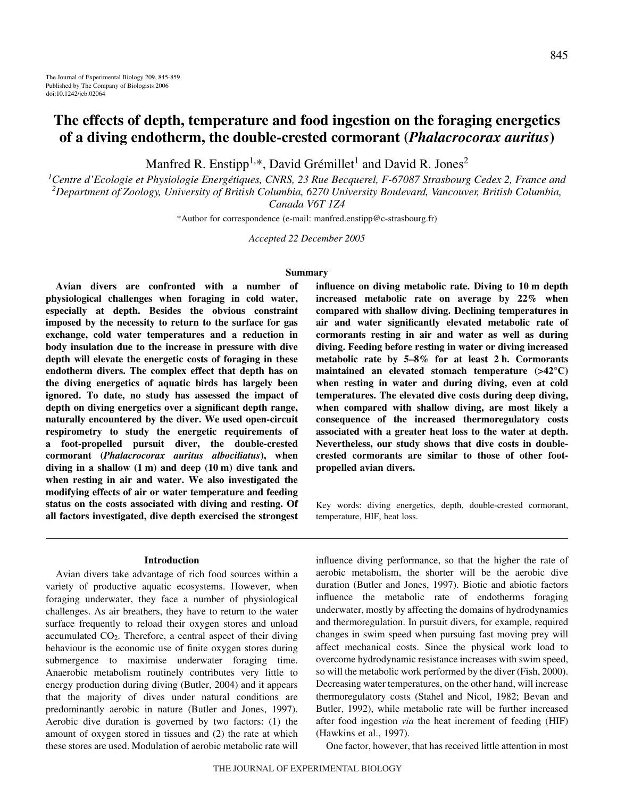# **The effects of depth, temperature and food ingestion on the foraging energetics of a diving endotherm, the double-crested cormorant (***Phalacrocorax auritus***)**

Manfred R. Enstipp<sup>1,\*</sup>, David Grémillet<sup>1</sup> and David R. Jones<sup>2</sup>

*1 Centre d'Ecologie et Physiologie Energétiques, CNRS, 23 Rue Becquerel, F-67087 Strasbourg Cedex 2, France and 2 Department of Zoology, University of British Columbia, 6270 University Boulevard, Vancouver, British Columbia, Canada V6T 1Z4* 

\*Author for correspondence (e-mail: manfred.enstipp@c-strasbourg.fr)

*Accepted 22 December 2005*

# **Summary**

**Avian divers are confronted with a number of physiological challenges when foraging in cold water, especially at depth. Besides the obvious constraint imposed by the necessity to return to the surface for gas exchange, cold water temperatures and a reduction in body insulation due to the increase in pressure with dive depth will elevate the energetic costs of foraging in these endotherm divers. The complex effect that depth has on the diving energetics of aquatic birds has largely been ignored. To date, no study has assessed the impact of depth on diving energetics over a significant depth range, naturally encountered by the diver. We used open-circuit respirometry to study the energetic requirements of a foot-propelled pursuit diver, the double-crested cormorant (***Phalacrocorax auritus albociliatus***), when** diving in a shallow  $(1 \text{ m})$  and deep  $(10 \text{ m})$  dive tank and **when resting in air and water. We also investigated the modifying effects of air or water temperature and feeding status on the costs associated with diving and resting. Of all factors investigated, dive depth exercised the strongest** **influence on diving metabolic rate. Diving to 10 m depth increased metabolic rate on average by 22% when compared with shallow diving. Declining temperatures in air and water significantly elevated metabolic rate of cormorants resting in air and water as well as during diving. Feeding before resting in water or diving increased** metabolic rate by 5–8% for at least 2 h. Cormorants **maintained an elevated stomach temperature (>42°C) when resting in water and during diving, even at cold temperatures. The elevated dive costs during deep diving, when compared with shallow diving, are most likely a consequence of the increased thermoregulatory costs associated with a greater heat loss to the water at depth. Nevertheless, our study shows that dive costs in doublecrested cormorants are similar to those of other footpropelled avian divers.**

Key words: diving energetics, depth, double-crested cormorant, temperature, HIF, heat loss.

#### **Introduction**

Avian divers take advantage of rich food sources within a variety of productive aquatic ecosystems. However, when foraging underwater, they face a number of physiological challenges. As air breathers, they have to return to the water surface frequently to reload their oxygen stores and unload accumulated  $CO<sub>2</sub>$ . Therefore, a central aspect of their diving behaviour is the economic use of finite oxygen stores during submergence to maximise underwater foraging time. Anaerobic metabolism routinely contributes very little to energy production during diving (Butler, 2004) and it appears that the majority of dives under natural conditions are predominantly aerobic in nature (Butler and Jones, 1997). Aerobic dive duration is governed by two factors: (1) the amount of oxygen stored in tissues and (2) the rate at which these stores are used. Modulation of aerobic metabolic rate will

influence diving performance, so that the higher the rate of aerobic metabolism, the shorter will be the aerobic dive duration (Butler and Jones, 1997). Biotic and abiotic factors influence the metabolic rate of endotherms foraging underwater, mostly by affecting the domains of hydrodynamics and thermoregulation. In pursuit divers, for example, required changes in swim speed when pursuing fast moving prey will affect mechanical costs. Since the physical work load to overcome hydrodynamic resistance increases with swim speed, so will the metabolic work performed by the diver (Fish, 2000). Decreasing water temperatures, on the other hand, will increase thermoregulatory costs (Stahel and Nicol, 1982; Bevan and Butler, 1992), while metabolic rate will be further increased after food ingestion *via* the heat increment of feeding (HIF) (Hawkins et al., 1997).

One factor, however, that has received little attention in most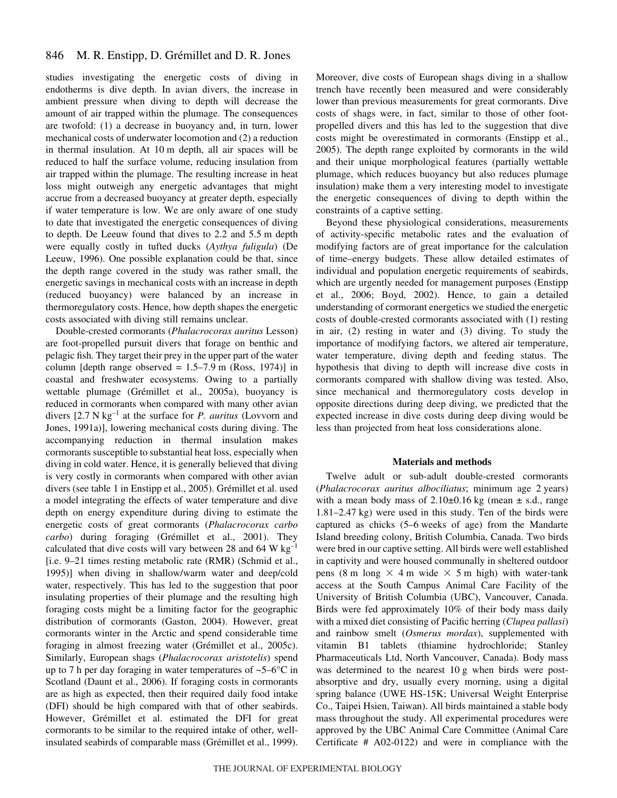#### 846 M. R. Enstipp, D. Grémillet and D. R. Jones

studies investigating the energetic costs of diving in endotherms is dive depth. In avian divers, the increase in ambient pressure when diving to depth will decrease the amount of air trapped within the plumage. The consequences are twofold: (1) a decrease in buoyancy and, in turn, lower mechanical costs of underwater locomotion and (2) a reduction in thermal insulation. At 10 m depth, all air spaces will be reduced to half the surface volume, reducing insulation from air trapped within the plumage. The resulting increase in heat loss might outweigh any energetic advantages that might accrue from a decreased buoyancy at greater depth, especially if water temperature is low. We are only aware of one study to date that investigated the energetic consequences of diving to depth. De Leeuw found that dives to 2.2 and 5.5 m depth were equally costly in tufted ducks (*Aythya fuligula*) (De Leeuw, 1996). One possible explanation could be that, since the depth range covered in the study was rather small, the energetic savings in mechanical costs with an increase in depth (reduced buoyancy) were balanced by an increase in thermoregulatory costs. Hence, how depth shapes the energetic costs associated with diving still remains unclear.

Double-crested cormorants (*Phalacrocorax auritus* Lesson) are foot-propelled pursuit divers that forage on benthic and pelagic fish. They target their prey in the upper part of the water column [depth range observed =  $1.5-7.9$  m (Ross, 1974)] in coastal and freshwater ecosystems. Owing to a partially wettable plumage (Grémillet et al., 2005a), buoyancy is reduced in cormorants when compared with many other avian divers  $[2.7 N kg<sup>-1</sup>]$  at the surface for *P. auritus* (Lovvorn and Jones, 1991a)], lowering mechanical costs during diving. The accompanying reduction in thermal insulation makes cormorants susceptible to substantial heat loss, especially when diving in cold water. Hence, it is generally believed that diving is very costly in cormorants when compared with other avian divers (see table 1 in Enstipp et al., 2005). Grémillet et al. used a model integrating the effects of water temperature and dive depth on energy expenditure during diving to estimate the energetic costs of great cormorants (*Phalacrocorax carbo carbo*) during foraging (Grémillet et al., 2001). They calculated that dive costs will vary between 28 and 64  $W \text{ kg}^{-1}$ [i.e. 9–21 times resting metabolic rate (RMR) (Schmid et al., 1995)] when diving in shallow/warm water and deep/cold water, respectively. This has led to the suggestion that poor insulating properties of their plumage and the resulting high foraging costs might be a limiting factor for the geographic distribution of cormorants (Gaston, 2004). However, great cormorants winter in the Arctic and spend considerable time foraging in almost freezing water (Grémillet et al., 2005c). Similarly, European shags (*Phalacrocorax aristotelis*) spend up to 7 h per day foraging in water temperatures of  $\sim$ 5–6 $\rm{°C}$  in Scotland (Daunt et al., 2006). If foraging costs in cormorants are as high as expected, then their required daily food intake (DFI) should be high compared with that of other seabirds. However, Grémillet et al. estimated the DFI for great cormorants to be similar to the required intake of other, wellinsulated seabirds of comparable mass (Grémillet et al., 1999).

Moreover, dive costs of European shags diving in a shallow trench have recently been measured and were considerably lower than previous measurements for great cormorants. Dive costs of shags were, in fact, similar to those of other footpropelled divers and this has led to the suggestion that dive costs might be overestimated in cormorants (Enstipp et al., 2005). The depth range exploited by cormorants in the wild and their unique morphological features (partially wettable plumage, which reduces buoyancy but also reduces plumage insulation) make them a very interesting model to investigate the energetic consequences of diving to depth within the constraints of a captive setting.

Beyond these physiological considerations, measurements of activity-specific metabolic rates and the evaluation of modifying factors are of great importance for the calculation of time–energy budgets. These allow detailed estimates of individual and population energetic requirements of seabirds, which are urgently needed for management purposes (Enstipp et al., 2006; Boyd, 2002). Hence, to gain a detailed understanding of cormorant energetics we studied the energetic costs of double-crested cormorants associated with (1) resting in air, (2) resting in water and (3) diving. To study the importance of modifying factors, we altered air temperature, water temperature, diving depth and feeding status. The hypothesis that diving to depth will increase dive costs in cormorants compared with shallow diving was tested. Also, since mechanical and thermoregulatory costs develop in opposite directions during deep diving, we predicted that the expected increase in dive costs during deep diving would be less than projected from heat loss considerations alone.

#### **Materials and methods**

Twelve adult or sub-adult double-crested cormorants (*Phalacrocorax auritus albociliatus*; minimum age 2·years) with a mean body mass of  $2.10\pm0.16$  kg (mean  $\pm$  s.d., range  $1.81-2.47$  kg) were used in this study. Ten of the birds were captured as chicks  $(5-6$  weeks of age) from the Mandarte Island breeding colony, British Columbia, Canada. Two birds were bred in our captive setting. All birds were well established in captivity and were housed communally in sheltered outdoor pens (8 m long  $\times$  4 m wide  $\times$  5 m high) with water-tank access at the South Campus Animal Care Facility of the University of British Columbia (UBC), Vancouver, Canada. Birds were fed approximately 10% of their body mass daily with a mixed diet consisting of Pacific herring (*Clupea pallasi*) and rainbow smelt (*Osmerus mordax*), supplemented with vitamin B1 tablets (thiamine hydrochloride; Stanley Pharmaceuticals Ltd, North Vancouver, Canada). Body mass was determined to the nearest 10 g when birds were postabsorptive and dry, usually every morning, using a digital spring balance (UWE HS-15K; Universal Weight Enterprise Co., Taipei Hsien, Taiwan). All birds maintained a stable body mass throughout the study. All experimental procedures were approved by the UBC Animal Care Committee (Animal Care Certificate # A02-0122) and were in compliance with the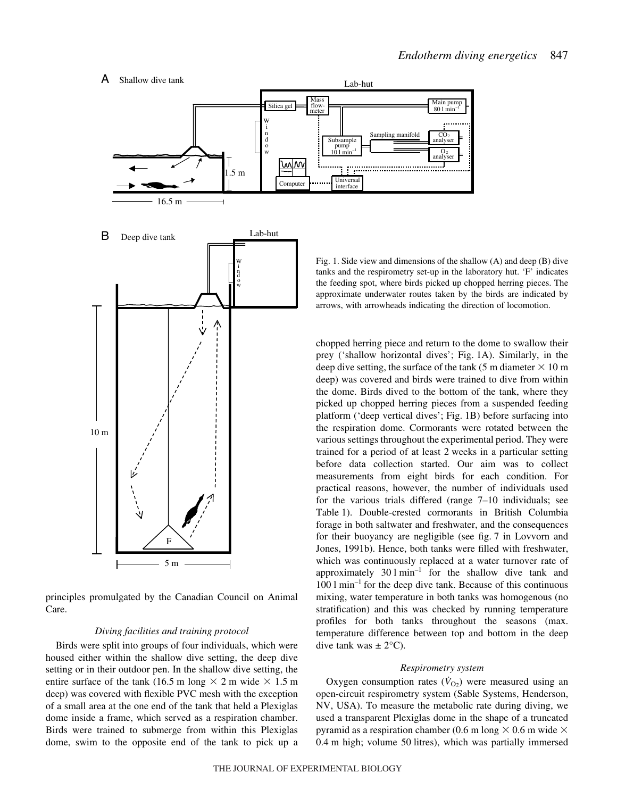

principles promulgated by the Canadian Council on Animal Care.

# *Diving facilities and training protocol*

Birds were split into groups of four individuals, which were housed either within the shallow dive setting, the deep dive setting or in their outdoor pen. In the shallow dive setting, the entire surface of the tank (16.5 m long  $\times$  2 m wide  $\times$  1.5 m deep) was covered with flexible PVC mesh with the exception of a small area at the one end of the tank that held a Plexiglas dome inside a frame, which served as a respiration chamber. Birds were trained to submerge from within this Plexiglas dome, swim to the opposite end of the tank to pick up a

Fig. 1. Side view and dimensions of the shallow  $(A)$  and deep  $(B)$  dive tanks and the respirometry set-up in the laboratory hut. 'F' indicates the feeding spot, where birds picked up chopped herring pieces. The approximate underwater routes taken by the birds are indicated by arrows, with arrowheads indicating the direction of locomotion.

O2 analyser

CO2 analyser

Main pum 80 l min

–1

.......

chopped herring piece and return to the dome to swallow their prey ('shallow horizontal dives'; Fig. 1A). Similarly, in the deep dive setting, the surface of the tank (5 m diameter  $\times$  10 m deep) was covered and birds were trained to dive from within the dome. Birds dived to the bottom of the tank, where they picked up chopped herring pieces from a suspended feeding platform ('deep vertical dives'; Fig. 1B) before surfacing into the respiration dome. Cormorants were rotated between the various settings throughout the experimental period. They were trained for a period of at least 2 weeks in a particular setting before data collection started. Our aim was to collect measurements from eight birds for each condition. For practical reasons, however, the number of individuals used for the various trials differed (range 7–10 individuals; see Table 1). Double-crested cormorants in British Columbia forage in both saltwater and freshwater, and the consequences for their buoyancy are negligible (see fig. 7 in Lovvorn and Jones, 1991b). Hence, both tanks were filled with freshwater, which was continuously replaced at a water turnover rate of approximately  $30\,\mathrm{l}\,\mathrm{min}^{-1}$  for the shallow dive tank and  $1001 \text{ min}^{-1}$  for the deep dive tank. Because of this continuous mixing, water temperature in both tanks was homogenous (no stratification) and this was checked by running temperature profiles for both tanks throughout the seasons (max. temperature difference between top and bottom in the deep dive tank was  $\pm$  2°C).

#### *Respirometry system*

Oxygen consumption rates  $(\dot{V}_{O2})$  were measured using an open-circuit respirometry system (Sable Systems, Henderson, NV, USA). To measure the metabolic rate during diving, we used a transparent Plexiglas dome in the shape of a truncated pyramid as a respiration chamber (0.6 m long  $\times$  0.6 m wide  $\times$  $0.4$  m high; volume 50 litres), which was partially immersed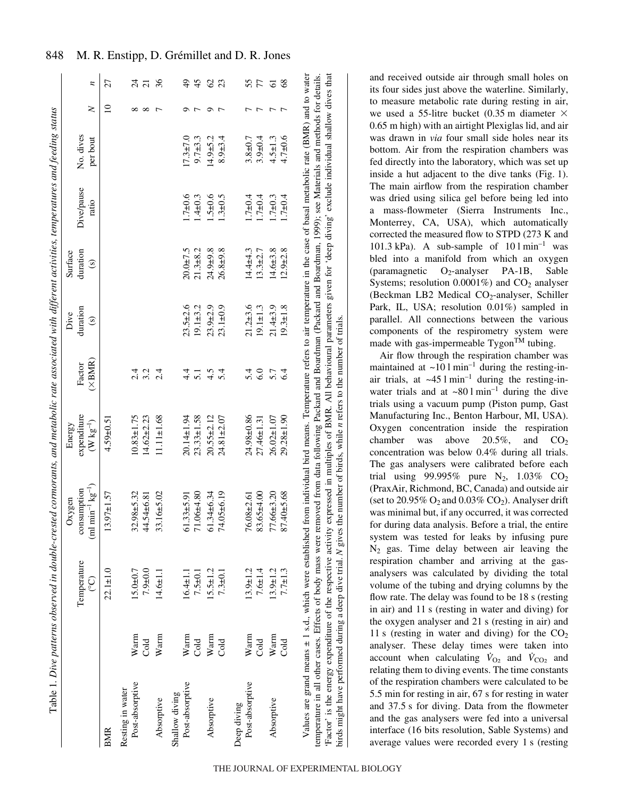| $\overline{a}$                                                                                                |  |
|---------------------------------------------------------------------------------------------------------------|--|
|                                                                                                               |  |
|                                                                                                               |  |
|                                                                                                               |  |
|                                                                                                               |  |
|                                                                                                               |  |
|                                                                                                               |  |
|                                                                                                               |  |
|                                                                                                               |  |
| ì                                                                                                             |  |
| ì                                                                                                             |  |
| j<br>í                                                                                                        |  |
|                                                                                                               |  |
|                                                                                                               |  |
|                                                                                                               |  |
|                                                                                                               |  |
|                                                                                                               |  |
| ξ                                                                                                             |  |
|                                                                                                               |  |
| ı                                                                                                             |  |
|                                                                                                               |  |
| $\overline{a}$                                                                                                |  |
|                                                                                                               |  |
|                                                                                                               |  |
| j                                                                                                             |  |
| ļ                                                                                                             |  |
| .<br>.<br>.                                                                                                   |  |
|                                                                                                               |  |
|                                                                                                               |  |
|                                                                                                               |  |
|                                                                                                               |  |
|                                                                                                               |  |
| 1                                                                                                             |  |
| i                                                                                                             |  |
|                                                                                                               |  |
| I                                                                                                             |  |
| ļ                                                                                                             |  |
| י<br>י                                                                                                        |  |
|                                                                                                               |  |
| i                                                                                                             |  |
| $\overline{a}$                                                                                                |  |
| i                                                                                                             |  |
| í<br>í<br>;                                                                                                   |  |
| انتخاب                                                                                                        |  |
|                                                                                                               |  |
| i                                                                                                             |  |
|                                                                                                               |  |
|                                                                                                               |  |
| $\overline{\phantom{a}}$                                                                                      |  |
| ;<br>;                                                                                                        |  |
| ֺ֚                                                                                                            |  |
|                                                                                                               |  |
| ţ                                                                                                             |  |
| $\overline{a}$                                                                                                |  |
|                                                                                                               |  |
| ļ                                                                                                             |  |
|                                                                                                               |  |
| ļ                                                                                                             |  |
| I                                                                                                             |  |
| l                                                                                                             |  |
| ֖֖֖֖֖֖֖֧֖֖֧֖֧֖֖֖֧֚֚֚֚֚֚֚֚֚֚֚֚֚֚֚֚֚֚֚֚֚֚֚֚֚֚֚֚֚֚֚֚֚֚֚֬֝֝֓֞֝֬֝<br>֖֖֖֢ׅ֢ׅ֪ׅ֪ׅ֪ׅׅ֧ׅ֖֧֖֚֚֚֚֚֚֚֚֚֚֚֚֚֚֚֚֚֚֚֚֬֝֝֬֝֬ |  |
|                                                                                                               |  |

| Warm<br>Post-absorptive<br>Resting in water<br><b>BMR</b> |                  | Oxygen                                  | Energy                              |                          | Dive                | Surface             |                            |                       |                |                 |
|-----------------------------------------------------------|------------------|-----------------------------------------|-------------------------------------|--------------------------|---------------------|---------------------|----------------------------|-----------------------|----------------|-----------------|
|                                                           | Temperature<br>ၟ | $(ml \min^{-1} kg^{-1})$<br>consumption | expenditure<br>$(W \text{kg}^{-1})$ | $(\times$ BMR)<br>Factor | duration<br>$\odot$ | duration<br>$\odot$ | <b>Dive/pause</b><br>ratio | No. dives<br>per bout | $\geq$         | n               |
|                                                           | $22.1 \pm 1.0$   | $13.97 \pm 1.57$                        | 4.59±0.51                           |                          |                     |                     |                            |                       | $\supseteq$    | 27              |
|                                                           | $15.0 + 0.7$     | $32.98 + 5.32$                          | $10.83 \pm 1.75$                    | 2.4                      |                     |                     |                            |                       | ∞              | $\overline{24}$ |
| Cold                                                      | $7.9 + 0.0$      | 44.54±6.81                              | $14.62 \pm 2.23$                    | 3.2                      |                     |                     |                            |                       | ∞              | $\overline{c}$  |
| Wam<br>Absorptive                                         | $14.6 \pm 1.1$   | $33.16 \pm 5.02$                        | $11.11 \pm 1.68$                    | 2.4                      |                     |                     |                            |                       |                | 36              |
| Warm<br>Post-absorptive<br>Shallow diving                 | $16.4 \pm 1.1$   | $61.33 + 5.91$                          | $20.14 \pm 1.94$                    |                          | $23.5 \pm 2.6$      | $20.0 + 7.5$        | 2.045                      | $17.3 \pm 7.0$        |                | $\frac{1}{2}$   |
| Cold                                                      | $7.5 \pm 0.1$    | $71.06 + 4.80$                          | $23.33 \pm 1.58$                    | $\frac{4}{1}$ 5.1        | $19.1 \pm 3.2$      | $21.3 + 8.2$        | $1.4 \pm 0.3$              | $9.7 + 3.3$           |                | 45              |
| Warm<br>Absorptive                                        | $15.5 \pm 1.2$   | $61.34 \pm 6.34$                        | $20.55 \pm 2.12$                    | 4.5                      | $23.9 + 2.9$        | $24.9 + 9.8$        | $.5 \pm 0.6$               | $14.9 + 5.2$          | ໑              | $\mathcal{S}$   |
| Cold                                                      | $7.3 \pm 0.1$    | 74.05±6.19                              | $24.81 + 2.07$                      | $\overline{5.4}$         | $23.1 \pm 0.9$      | $26.8 + 9.8$        | $1.3 \pm 0.5$              | $8.9 + 3.4$           | $\overline{ }$ | 23              |
| Deep diving                                               |                  |                                         |                                     |                          |                     |                     |                            |                       |                |                 |
| Warm<br>Post-absorptive                                   | $13.9 \pm 1.2$   | 76.08±2.61                              | 24.98±0.86                          | 5.4                      | $21.2 + 3.6$        | $14.4 + 4.3$        | $1.7 + 0.4$                | $3.8 + 0.7$           |                |                 |
| Cold                                                      | $7.6 \pm 1.4$    | $83.65 \pm 4.00$                        | 27.46±1.3                           | 6.0                      | $19.1 \pm 1.3$      | $13.3 \pm 2.7$      | $1.7 + 0.4$                | $3.9 \pm 0.4$         |                | 55              |
| Warm<br>Absorptive                                        | $13.9 \pm 1.2$   | 77.66±3.20                              | $26.02 \pm 1.07$                    | 5.7                      | $21.4 + 3.9$        | $14.6 \pm 3.8$      | $1.7 \pm 0.3$              | $4.5 \pm 1.3$         |                | 5               |
| Cold                                                      | $7.7 \pm 1.3$    | 87.40±5.68                              | 29.28±1.90                          | 6.4                      | $19.3 \pm 1.8$      | $12.9 \pm 2.8$      | $1.7 + 0.4$                | $4.7 \pm 0.6$         | 1              | $\frac{8}{3}$   |

temperature in all other cases. Effects of body mass were removed from data following Packard and Boardman (Packard and Boardman, 1999); see Materials and methods for details. 'Factor' is the energy expenditure of the respective activity expressed in multiples of BMR. All behavioural parameters given for 'deep diving' exclude individual shallow dives that 'Factor' is the energy expenditure of the respective activity expressed in multiples of BMR. All behavioural parameters given for 'deep diving' exclude individual shallow dives that temperature in all other cases. Effects of body mass were removed from data following Packard and Boardman (Packard and Boardman, 1999); see Materials and methods for details. birds might have performed during a deep dive trial. N gives the number of birds, while n refers to the number of trials. *N* gives the number of birds, while *n* refers to the number of trials. birds might have performed during a deep dive trial. Values are grand m

and received outside air through small holes on its four sides just above the waterline. Similarly, to measure metabolic rate during resting in air, we used a 55-litre bucket (0.35 m diameter  $\times$ 0.65 m high) with an airtight Plexiglas lid, and air was drawn in *via* four small side holes near its bottom. Air from the respiration chambers was fed directly into the laboratory, which was set up inside a hut adjacent to the dive tanks  $(Fig. 1)$ . The main airflow from the respiration chamber was dried using silica gel before being led into a mass-flowmeter (Sierra Instruments Inc., Monterrey, CA, USA), which automatically corrected the measured flow to STPD (273 K and 101.3 kPa). A sub-sample of  $101 \text{ min}^{-1}$  was bled into a manifold from which an oxygen (paramagnetic  $O_2$ -analyser PA-1B, Sable Systems; resolution  $0.0001\%$ ) and  $CO<sub>2</sub>$  analyser (Beckman LB2 Medical  $CO_2$ -analyser, Schiller Park, IL, USA; resolution 0.01%) sampled in parallel. All connections between the various components of the respirometry system were made with gas-impermeable  $Tygon^{TM}$  tubing.

Air flow through the respiration chamber was maintained at  $\sim 10 \text{ l min}^{-1}$  during the resting-inair trials, at  $\sim$ 45 l min<sup>-1</sup> during the resting-inwater trials and at  $\sim 80 \text{ l min}^{-1}$  during the dive trials using a vacuum pump (Piston pump, Gast Manufacturing Inc., Benton Harbour, MI, USA). Oxygen concentration inside the respiration chamber was above 20.5%, and  $CO<sub>2</sub>$ concentration was below 0.4% during all trials. The gas analysers were calibrated before each trial using 99.995% pure  $N_2$ , 1.03%  $CO_2$ (PraxAir, Richmond, BC, Canada) and outside air (set to 20.95%  $O_2$  and 0.03%  $CO_2$ ). Analyser drift was minimal but, if any occurred, it was corrected for during data analysis. Before a trial, the entire system was tested for leaks by infusing pure  $N_2$  gas. Time delay between air leaving the respiration chamber and arriving at the gasanalysers was calculated by dividing the total volume of the tubing and drying columns by the flow rate. The delay was found to be 18 s (resting in air) and 11 s (resting in water and diving) for the oxygen analyser and 21 s (resting in air) and 11 s (resting in water and diving) for the  $CO<sub>2</sub>$ analyser. These delay times were taken into account when calculating  $\dot{V}_{\text{O}_2}$  and  $\dot{V}_{\text{CO}_2}$  and relating them to diving events. The time constants of the respiration chambers were calculated to be 5.5 min for resting in air, 67 s for resting in water and 37.5 s for diving. Data from the flowmeter and the gas analysers were fed into a universal interface (16 bits resolution, Sable Systems) and average values were recorded every 1 s (resting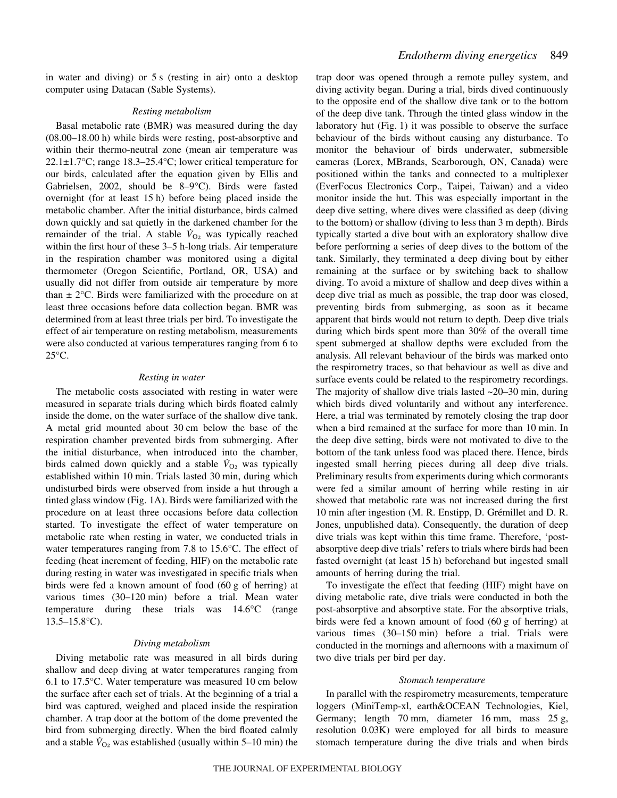in water and diving) or  $5s$  (resting in air) onto a desktop computer using Datacan (Sable Systems).

# *Resting metabolism*

Basal metabolic rate (BMR) was measured during the day (08.00–18.00 h) while birds were resting, post-absorptive and within their thermo-neutral zone (mean air temperature was 22.1±1.7°C; range 18.3–25.4°C; lower critical temperature for our birds, calculated after the equation given by Ellis and Gabrielsen, 2002, should be 8–9°C). Birds were fasted overnight (for at least 15 h) before being placed inside the metabolic chamber. After the initial disturbance, birds calmed down quickly and sat quietly in the darkened chamber for the remainder of the trial. A stable  $V_{O_2}$  was typically reached within the first hour of these  $3-5$  h-long trials. Air temperature in the respiration chamber was monitored using a digital thermometer (Oregon Scientific, Portland, OR, USA) and usually did not differ from outside air temperature by more than  $\pm 2^{\circ}$ C. Birds were familiarized with the procedure on at least three occasions before data collection began. BMR was determined from at least three trials per bird. To investigate the effect of air temperature on resting metabolism, measurements were also conducted at various temperatures ranging from 6 to 25°C.

# *Resting in water*

The metabolic costs associated with resting in water were measured in separate trials during which birds floated calmly inside the dome, on the water surface of the shallow dive tank. A metal grid mounted about 30 cm below the base of the respiration chamber prevented birds from submerging. After the initial disturbance, when introduced into the chamber, birds calmed down quickly and a stable  $V_{O_2}$  was typically established within 10 min. Trials lasted 30 min, during which undisturbed birds were observed from inside a hut through a tinted glass window (Fig. 1A). Birds were familiarized with the procedure on at least three occasions before data collection started. To investigate the effect of water temperature on metabolic rate when resting in water, we conducted trials in water temperatures ranging from 7.8 to 15.6°C. The effect of feeding (heat increment of feeding, HIF) on the metabolic rate during resting in water was investigated in specific trials when birds were fed a known amount of food (60 g of herring) at various times  $(30-120 \text{ min})$  before a trial. Mean water temperature during these trials was 14.6°C (range  $13.5 - 15.8$ °C).

# *Diving metabolism*

Diving metabolic rate was measured in all birds during shallow and deep diving at water temperatures ranging from 6.1 to  $17.5^{\circ}$ C. Water temperature was measured 10 cm below the surface after each set of trials. At the beginning of a trial a bird was captured, weighed and placed inside the respiration chamber. A trap door at the bottom of the dome prevented the bird from submerging directly. When the bird floated calmly and a stable  $\dot{V}_{O_2}$  was established (usually within 5–10 min) the trap door was opened through a remote pulley system, and diving activity began. During a trial, birds dived continuously to the opposite end of the shallow dive tank or to the bottom of the deep dive tank. Through the tinted glass window in the laboratory hut (Fig. 1) it was possible to observe the surface behaviour of the birds without causing any disturbance. To monitor the behaviour of birds underwater, submersible cameras (Lorex, MBrands, Scarborough, ON, Canada) were positioned within the tanks and connected to a multiplexer (EverFocus Electronics Corp., Taipei, Taiwan) and a video monitor inside the hut. This was especially important in the deep dive setting, where dives were classified as deep (diving to the bottom) or shallow (diving to less than 3 m depth). Birds typically started a dive bout with an exploratory shallow dive before performing a series of deep dives to the bottom of the tank. Similarly, they terminated a deep diving bout by either remaining at the surface or by switching back to shallow diving. To avoid a mixture of shallow and deep dives within a deep dive trial as much as possible, the trap door was closed, preventing birds from submerging, as soon as it became apparent that birds would not return to depth. Deep dive trials during which birds spent more than 30% of the overall time spent submerged at shallow depths were excluded from the analysis. All relevant behaviour of the birds was marked onto the respirometry traces, so that behaviour as well as dive and surface events could be related to the respirometry recordings. The majority of shallow dive trials lasted  $\sim$ 20–30 min, during which birds dived voluntarily and without any interference. Here, a trial was terminated by remotely closing the trap door when a bird remained at the surface for more than 10 min. In the deep dive setting, birds were not motivated to dive to the bottom of the tank unless food was placed there. Hence, birds ingested small herring pieces during all deep dive trials. Preliminary results from experiments during which cormorants were fed a similar amount of herring while resting in air showed that metabolic rate was not increased during the first 10 min after ingestion (M. R. Enstipp, D. Grémillet and D. R. Jones, unpublished data). Consequently, the duration of deep dive trials was kept within this time frame. Therefore, 'postabsorptive deep dive trials' refers to trials where birds had been fasted overnight (at least 15 h) beforehand but ingested small amounts of herring during the trial.

To investigate the effect that feeding (HIF) might have on diving metabolic rate, dive trials were conducted in both the post-absorptive and absorptive state. For the absorptive trials, birds were fed a known amount of food  $(60 g)$  of herring) at various times  $(30-150 \text{ min})$  before a trial. Trials were conducted in the mornings and afternoons with a maximum of two dive trials per bird per day.

# *Stomach temperature*

In parallel with the respirometry measurements, temperature loggers (MiniTemp-xl, earth&OCEAN Technologies, Kiel, Germany; length 70 mm, diameter 16 mm, mass 25 g, resolution 0.03K) were employed for all birds to measure stomach temperature during the dive trials and when birds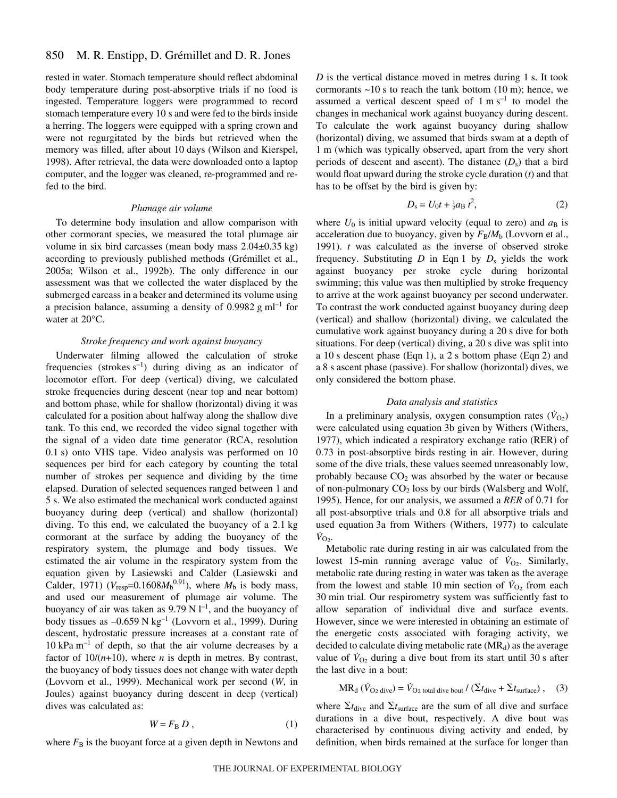rested in water. Stomach temperature should reflect abdominal body temperature during post-absorptive trials if no food is ingested. Temperature loggers were programmed to record stomach temperature every 10 s and were fed to the birds inside a herring. The loggers were equipped with a spring crown and were not regurgitated by the birds but retrieved when the memory was filled, after about 10 days (Wilson and Kierspel, 1998). After retrieval, the data were downloaded onto a laptop computer, and the logger was cleaned, re-programmed and refed to the bird.

#### *Plumage air volume*

To determine body insulation and allow comparison with other cormorant species, we measured the total plumage air volume in six bird carcasses (mean body mass  $2.04\pm0.35$  kg) according to previously published methods (Grémillet et al., 2005a; Wilson et al., 1992b). The only difference in our assessment was that we collected the water displaced by the submerged carcass in a beaker and determined its volume using a precision balance, assuming a density of  $0.9982$  g ml<sup>-1</sup> for water at 20°C.

#### *Stroke frequency and work against buoyancy*

Underwater filming allowed the calculation of stroke frequencies (strokes  $s^{-1}$ ) during diving as an indicator of locomotor effort. For deep (vertical) diving, we calculated stroke frequencies during descent (near top and near bottom) and bottom phase, while for shallow (horizontal) diving it was calculated for a position about halfway along the shallow dive tank. To this end, we recorded the video signal together with the signal of a video date time generator (RCA, resolution 0.1 s) onto VHS tape. Video analysis was performed on 10 sequences per bird for each category by counting the total number of strokes per sequence and dividing by the time elapsed. Duration of selected sequences ranged between 1 and 5 s. We also estimated the mechanical work conducted against buoyancy during deep (vertical) and shallow (horizontal) diving. To this end, we calculated the buoyancy of a 2.1 kg cormorant at the surface by adding the buoyancy of the respiratory system, the plumage and body tissues. We estimated the air volume in the respiratory system from the equation given by Lasiewski and Calder (Lasiewski and Calder, 1971) ( $V_{resp}$ =0.1608 $M_b^{0.91}$ ), where  $M_b$  is body mass, and used our measurement of plumage air volume. The buoyancy of air was taken as  $9.79 \text{ N}$  l<sup>-1</sup>, and the buoyancy of body tissues as  $-0.659 \text{ N kg}^{-1}$  (Lovvorn et al., 1999). During descent, hydrostatic pressure increases at a constant rate of  $10 \text{ kPa m}^{-1}$  of depth, so that the air volume decreases by a factor of  $10/(n+10)$ , where *n* is depth in metres. By contrast, the buoyancy of body tissues does not change with water depth (Lovvorn et al., 1999). Mechanical work per second (*W*, in Joules) against buoyancy during descent in deep (vertical) dives was calculated as:

$$
W = FB D , \t\t(1)
$$

where  $F_B$  is the buoyant force at a given depth in Newtons and

 $D$  is the vertical distance moved in metres during 1 s. It took cormorants  $\sim$ 10 s to reach the tank bottom (10 m); hence, we assumed a vertical descent speed of  $1 \text{ m s}^{-1}$  to model the changes in mechanical work against buoyancy during descent. To calculate the work against buoyancy during shallow (horizontal) diving, we assumed that birds swam at a depth of 1 m (which was typically observed, apart from the very short periods of descent and ascent). The distance  $(D_s)$  that a bird would float upward during the stroke cycle duration (*t*) and that has to be offset by the bird is given by:

$$
D_{\rm s} = U_0 t + \frac{1}{2} a_{\rm B} t^2, \tag{2}
$$

where  $U_0$  is initial upward velocity (equal to zero) and  $a_B$  is acceleration due to buoyancy, given by  $F_B/M_b$  (Lovvorn et al., 1991). *t* was calculated as the inverse of observed stroke frequency. Substituting  $D$  in Eqn 1 by  $D<sub>s</sub>$  yields the work against buoyancy per stroke cycle during horizontal swimming; this value was then multiplied by stroke frequency to arrive at the work against buoyancy per second underwater. To contrast the work conducted against buoyancy during deep (vertical) and shallow (horizontal) diving, we calculated the cumulative work against buoyancy during a 20 s dive for both situations. For deep (vertical) diving, a 20 s dive was split into a 10 s descent phase (Eqn 1), a 2 s bottom phase (Eqn 2) and a 8 s ascent phase (passive). For shallow (horizontal) dives, we only considered the bottom phase.

#### *Data analysis and statistics*

In a preliminary analysis, oxygen consumption rates  $(\dot{V}_{O2})$ were calculated using equation 3b given by Withers (Withers, 1977), which indicated a respiratory exchange ratio (RER) of 0.73 in post-absorptive birds resting in air. However, during some of the dive trials, these values seemed unreasonably low, probably because  $CO<sub>2</sub>$  was absorbed by the water or because of non-pulmonary  $CO<sub>2</sub>$  loss by our birds (Walsberg and Wolf, 1995). Hence, for our analysis, we assumed a *RER* of 0.71 for all post-absorptive trials and 0.8 for all absorptive trials and used equation 3a from Withers (Withers, 1977) to calculate  $V_{\text{O}_2}$ .

Metabolic rate during resting in air was calculated from the lowest 15-min running average value of  $V_{\text{O}_2}$ . Similarly, metabolic rate during resting in water was taken as the average from the lowest and stable 10 min section of  $\dot{V}_{O_2}$  from each 30 min trial. Our respirometry system was sufficiently fast to allow separation of individual dive and surface events. However, since we were interested in obtaining an estimate of the energetic costs associated with foraging activity, we decided to calculate diving metabolic rate  $(MR_d)$  as the average value of  $V_{O_2}$  during a dive bout from its start until 30 s after the last dive in a bout:

$$
MR_{d} (V_{O_2 \text{ dive}}) = V_{O_2 \text{ total dive bout}} / (\Sigma t_{\text{live}} + \Sigma t_{\text{surface}}), \quad (3)
$$

where  $\Sigma t_{\text{dive}}$  and  $\Sigma t_{\text{surface}}$  are the sum of all dive and surface durations in a dive bout, respectively. A dive bout was characterised by continuous diving activity and ended, by definition, when birds remained at the surface for longer than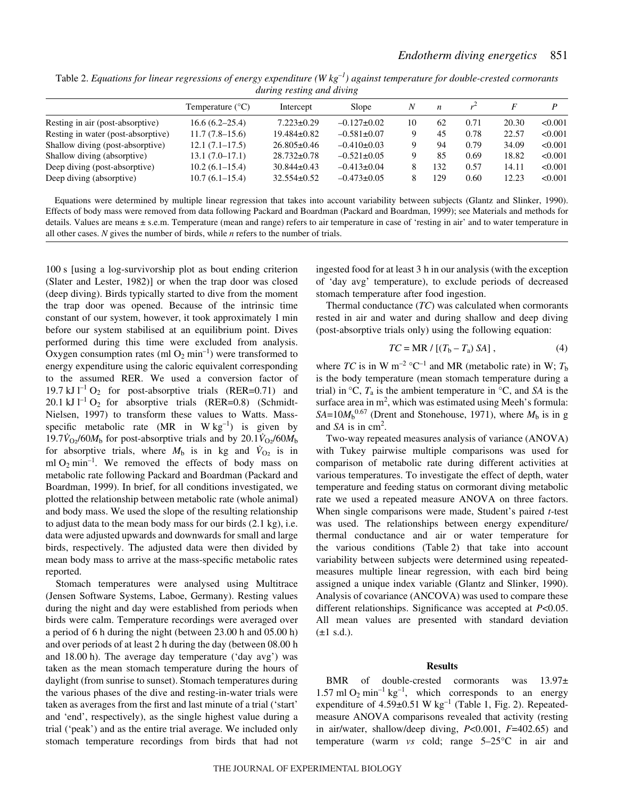Table 2. *Equations for linear regressions of energy expenditure (W·kg–1) against temperature for double-crested cormorants during resting and diving*

|                                    | Temperature $(^{\circ}C)$ | Intercept         | Slope             | Ν  | $\boldsymbol{n}$ |      |       | P       |
|------------------------------------|---------------------------|-------------------|-------------------|----|------------------|------|-------|---------|
| Resting in air (post-absorptive)   | $16.6(6.2 - 25.4)$        | $7.223 \pm 0.29$  | $-0.127\pm0.02$   | 10 | 62               | 0.71 | 20.30 | < 0.001 |
| Resting in water (post-absorptive) | $11.7(7.8-15.6)$          | $19.484 \pm 0.82$ | $-0.581 \pm 0.07$ |    | 45               | 0.78 | 22.57 | < 0.001 |
| Shallow diving (post-absorptive)   | $12.1(7.1-17.5)$          | $26.805 \pm 0.46$ | $-0.410\pm0.03$   | Q  | 94               | 0.79 | 34.09 | < 0.001 |
| Shallow diving (absorptive)        | $13.1(7.0-17.1)$          | $28.732\pm0.78$   | $-0.521 \pm 0.05$ |    | 85               | 0.69 | 18.82 | < 0.001 |
| Deep diving (post-absorptive)      | $10.2(6.1-15.4)$          | $30.844 \pm 0.43$ | $-0.413 \pm 0.04$ |    | 132              | 0.57 | 14.11 | < 0.001 |
| Deep diving (absorptive)           | $10.7(6.1-15.4)$          | $32.554\pm0.52$   | $-0.473 \pm 0.05$ |    | 129              | 0.60 | 12.23 | < 0.001 |

Equations were determined by multiple linear regression that takes into account variability between subjects (Glantz and Slinker, 1990). Effects of body mass were removed from data following Packard and Boardman (Packard and Boardman, 1999); see Materials and methods for details. Values are means  $\pm$  s.e.m. Temperature (mean and range) refers to air temperature in case of 'resting in air' and to water temperature in all other cases. *N* gives the number of birds, while *n* refers to the number of trials.

100 s [using a log-survivorship plot as bout ending criterion (Slater and Lester, 1982)] or when the trap door was closed (deep diving). Birds typically started to dive from the moment the trap door was opened. Because of the intrinsic time constant of our system, however, it took approximately 1 min before our system stabilised at an equilibrium point. Dives performed during this time were excluded from analysis. Oxygen consumption rates (ml  $O_2$  min<sup>-1</sup>) were transformed to energy expenditure using the caloric equivalent corresponding to the assumed RER. We used a conversion factor of 19.7 kJ  $l^{-1}$  O<sub>2</sub> for post-absorptive trials (RER=0.71) and 20.1 kJ  $l^{-1}$  O<sub>2</sub> for absorptive trials (RER=0.8) (Schmidt-Nielsen, 1997) to transform these values to Watts. Massspecific metabolic rate (MR in  $Wkg^{-1}$ ) is given by  $19.7\dot{V}_{O_2}/60M_b$  for post-absorptive trials and by  $20.1\dot{V}_{O_2}/60M_b$ for absorptive trials, where  $M_b$  is in kg and  $\dot{V}_{02}$  is in ml  $O_2$  min<sup>-1</sup>. We removed the effects of body mass on metabolic rate following Packard and Boardman (Packard and Boardman, 1999). In brief, for all conditions investigated, we plotted the relationship between metabolic rate (whole animal) and body mass. We used the slope of the resulting relationship to adjust data to the mean body mass for our birds  $(2.1 \text{ kg})$ , i.e. data were adjusted upwards and downwards for small and large birds, respectively. The adjusted data were then divided by mean body mass to arrive at the mass-specific metabolic rates reported.

Stomach temperatures were analysed using Multitrace (Jensen Software Systems, Laboe, Germany). Resting values during the night and day were established from periods when birds were calm. Temperature recordings were averaged over a period of 6 h during the night (between 23.00 h and 05.00 h) and over periods of at least 2 h during the day (between 08.00 h and 18.00 h). The average day temperature ('day  $avg'$ ) was taken as the mean stomach temperature during the hours of daylight (from sunrise to sunset). Stomach temperatures during the various phases of the dive and resting-in-water trials were taken as averages from the first and last minute of a trial ('start' and 'end', respectively), as the single highest value during a trial ('peak') and as the entire trial average. We included only stomach temperature recordings from birds that had not

ingested food for at least 3 h in our analysis (with the exception of 'day avg' temperature), to exclude periods of decreased stomach temperature after food ingestion.

Thermal conductance (*TC*) was calculated when cormorants rested in air and water and during shallow and deep diving (post-absorptive trials only) using the following equation:

$$
TC = MR / [(T_b - T_a) SA], \qquad (4)
$$

where *TC* is in W  $m^{-2}$  °C<sup>-1</sup> and MR (metabolic rate) in W;  $T_b$ is the body temperature (mean stomach temperature during a trial) in  ${}^{\circ}C$ ,  $T_a$  is the ambient temperature in  ${}^{\circ}C$ , and *SA* is the surface area in  $m^2$ , which was estimated using Meeh's formula:  $SA = 10M_b^{0.67}$  (Drent and Stonehouse, 1971), where  $M_b$  is in g and *SA* is in cm<sup>2</sup>.

Two-way repeated measures analysis of variance (ANOVA) with Tukey pairwise multiple comparisons was used for comparison of metabolic rate during different activities at various temperatures. To investigate the effect of depth, water temperature and feeding status on cormorant diving metabolic rate we used a repeated measure ANOVA on three factors. When single comparisons were made, Student's paired *t*-test was used. The relationships between energy expenditure/ thermal conductance and air or water temperature for the various conditions (Table 2) that take into account variability between subjects were determined using repeatedmeasures multiple linear regression, with each bird being assigned a unique index variable (Glantz and Slinker, 1990). Analysis of covariance (ANCOVA) was used to compare these different relationships. Significance was accepted at *P*<0.05. All mean values are presented with standard deviation  $(\pm 1 \text{ s.d.}).$ 

# **Results**

BMR of double-crested cormorants was 13.97± 1.57 ml  $O_2$  min<sup>-1</sup> kg<sup>-1</sup>, which corresponds to an energy expenditure of  $4.59\pm0.51~W~kg^{-1}$  (Table 1, Fig. 2). Repeatedmeasure ANOVA comparisons revealed that activity (resting in air/water, shallow/deep diving, *P*<0.001, *F*=402.65) and temperature (warm *vs* cold; range 5–25°C in air and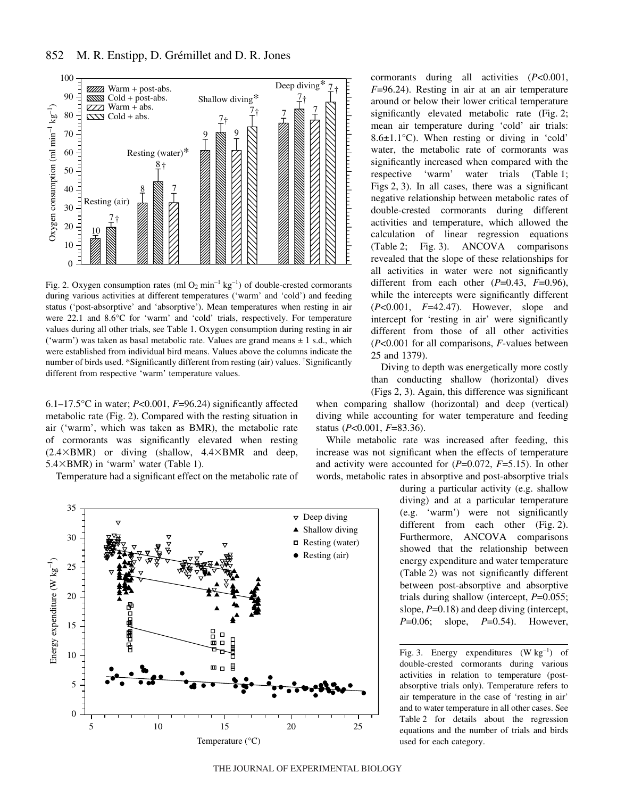

Fig. 2. Oxygen consumption rates (ml  $O_2$  min<sup>-1</sup> kg<sup>-1</sup>) of double-crested cormorants during various activities at different temperatures ('warm' and 'cold') and feeding status ('post-absorptive' and 'absorptive'). Mean temperatures when resting in air were 22.1 and 8.6°C for 'warm' and 'cold' trials, respectively. For temperature values during all other trials, see Table 1. Oxygen consumption during resting in air ('warm') was taken as basal metabolic rate. Values are grand means  $\pm$  1 s.d., which were established from individual bird means. Values above the columns indicate the number of birds used. \*Significantly different from resting (air) values. † Significantly different from respective 'warm' temperature values.

6.1–17.5°C in water; *P*<0.001, *F*=96.24) significantly affected metabolic rate (Fig. 2). Compared with the resting situation in air ('warm', which was taken as BMR), the metabolic rate of cormorants was significantly elevated when resting  $(2.4 \times BMR)$  or diving (shallow,  $4.4 \times BMR$  and deep,  $5.4\times$ BMR) in 'warm' water (Table 1).

Temperature had a significant effect on the metabolic rate of

cormorants during all activities (*P*<0.001, *F*=96.24). Resting in air at an air temperature around or below their lower critical temperature significantly elevated metabolic rate  $(Fig. 2;$ mean air temperature during 'cold' air trials: 8.6 $\pm$ 1.1<sup>o</sup>C). When resting or diving in 'cold' water, the metabolic rate of cormorants was significantly increased when compared with the respective 'warm' water trials (Table 1; Figs  $2, 3$ ). In all cases, there was a significant negative relationship between metabolic rates of double-crested cormorants during different activities and temperature, which allowed the calculation of linear regression equations (Table 2; Fig. 3). ANCOVA comparisons revealed that the slope of these relationships for all activities in water were not significantly different from each other (*P*=0.43, *F*=0.96), while the intercepts were significantly different (*P*<0.001, *F*=42.47). However, slope and intercept for 'resting in air' were significantly different from those of all other activities (*P*<0.001 for all comparisons, *F*-values between 25 and 1379).

Diving to depth was energetically more costly than conducting shallow (horizontal) dives (Figs 2, 3). Again, this difference was significant

when comparing shallow (horizontal) and deep (vertical) diving while accounting for water temperature and feeding status (*P*<0.001, *F*=83.36).

While metabolic rate was increased after feeding, this increase was not significant when the effects of temperature and activity were accounted for (*P*=0.072, *F*=5.15). In other words, metabolic rates in absorptive and post-absorptive trials

> during a particular activity (e.g. shallow diving) and at a particular temperature (e.g. 'warm') were not significantly different from each other  $(Fig. 2)$ . Furthermore, ANCOVA comparisons showed that the relationship between energy expenditure and water temperature (Table·2) was not significantly different between post-absorptive and absorptive trials during shallow (intercept, *P*=0.055; slope,  $P=0.18$ ) and deep diving (intercept, *P*=0.06; slope, *P*=0.54). However,

> Fig. 3. Energy expenditures  $(W \, kg^{-1})$  of double-crested cormorants during various activities in relation to temperature (postabsorptive trials only). Temperature refers to air temperature in the case of 'resting in air' and to water temperature in all other cases. See Table 2 for details about the regression equations and the number of trials and birds used for each category.

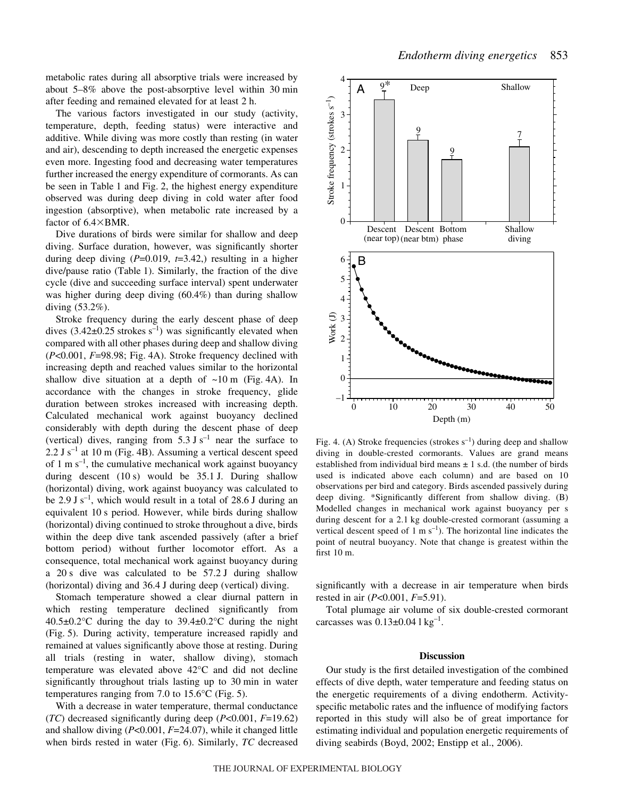metabolic rates during all absorptive trials were increased by about  $5-8\%$  above the post-absorptive level within 30 min after feeding and remained elevated for at least 2 h.

The various factors investigated in our study (activity, temperature, depth, feeding status) were interactive and additive. While diving was more costly than resting (in water and air), descending to depth increased the energetic expenses even more. Ingesting food and decreasing water temperatures further increased the energy expenditure of cormorants. As can be seen in Table 1 and Fig. 2, the highest energy expenditure observed was during deep diving in cold water after food ingestion (absorptive), when metabolic rate increased by a factor of  $6.4\times$ BMR.

Dive durations of birds were similar for shallow and deep diving. Surface duration, however, was significantly shorter during deep diving (*P*=0.019, *t*=3.42,) resulting in a higher dive/pause ratio (Table 1). Similarly, the fraction of the dive cycle (dive and succeeding surface interval) spent underwater was higher during deep diving (60.4%) than during shallow diving (53.2%).

Stroke frequency during the early descent phase of deep dives  $(3.42\pm0.25 \text{ strokes s}^{-1})$  was significantly elevated when compared with all other phases during deep and shallow diving  $(P<0.001, F=98.98; Fig. 4A)$ . Stroke frequency declined with increasing depth and reached values similar to the horizontal shallow dive situation at a depth of  $\sim 10 \text{ m}$  (Fig. 4A). In accordance with the changes in stroke frequency, glide duration between strokes increased with increasing depth. Calculated mechanical work against buoyancy declined considerably with depth during the descent phase of deep (vertical) dives, ranging from  $5.3 \text{ J s}^{-1}$  near the surface to 2.2 J  $s^{-1}$  at 10 m (Fig. 4B). Assuming a vertical descent speed of 1 m  $s^{-1}$ , the cumulative mechanical work against buoyancy during descent  $(10 s)$  would be 35.1 J. During shallow (horizontal) diving, work against buoyancy was calculated to be 2.9 J s<sup>-1</sup>, which would result in a total of 28.6 J during an equivalent 10 s period. However, while birds during shallow (horizontal) diving continued to stroke throughout a dive, birds within the deep dive tank ascended passively (after a brief bottom period) without further locomotor effort. As a consequence, total mechanical work against buoyancy during a 20 s dive was calculated to be  $57.2$  J during shallow (horizontal) diving and 36.4 J during deep (vertical) diving.

Stomach temperature showed a clear diurnal pattern in which resting temperature declined significantly from  $40.5\pm0.2^{\circ}\text{C}$  during the day to 39.4 $\pm0.2^{\circ}\text{C}$  during the night (Fig. 5). During activity, temperature increased rapidly and remained at values significantly above those at resting. During all trials (resting in water, shallow diving), stomach temperature was elevated above 42°C and did not decline significantly throughout trials lasting up to 30 min in water temperatures ranging from 7.0 to  $15.6^{\circ}$ C (Fig. 5).

With a decrease in water temperature, thermal conductance (*TC*) decreased significantly during deep (*P*<0.001, *F*=19.62) and shallow diving (*P*<0.001, *F*=24.07), while it changed little when birds rested in water (Fig. 6). Similarly, *TC* decreased



Fig. 4. (A) Stroke frequencies (strokes  $s^{-1}$ ) during deep and shallow diving in double-crested cormorants. Values are grand means established from individual bird means  $\pm$  1 s.d. (the number of birds used is indicated above each column) and are based on 10 observations per bird and category. Birds ascended passively during deep diving. \*Significantly different from shallow diving. (B) Modelled changes in mechanical work against buoyancy per s during descent for a 2.1 kg double-crested cormorant (assuming a vertical descent speed of 1 m s<sup>-1</sup>). The horizontal line indicates the point of neutral buoyancy. Note that change is greatest within the first 10 m.

significantly with a decrease in air temperature when birds rested in air (*P*<0.001, *F*=5.91).

Total plumage air volume of six double-crested cormorant carcasses was  $0.13\pm0.04$  l kg<sup>-1</sup>.

#### **Discussion**

Our study is the first detailed investigation of the combined effects of dive depth, water temperature and feeding status on the energetic requirements of a diving endotherm. Activityspecific metabolic rates and the influence of modifying factors reported in this study will also be of great importance for estimating individual and population energetic requirements of diving seabirds (Boyd, 2002; Enstipp et al., 2006).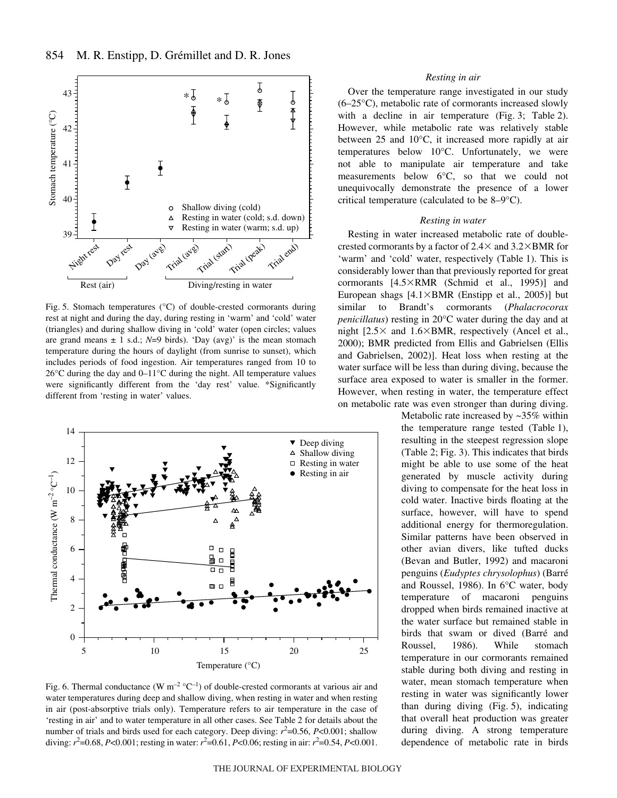

Fig. 5. Stomach temperatures (°C) of double-crested cormorants during rest at night and during the day, during resting in 'warm' and 'cold' water (triangles) and during shallow diving in 'cold' water (open circles; values are grand means  $\pm$  1 s.d.; *N*=9 birds). 'Day (avg)' is the mean stomach temperature during the hours of daylight (from sunrise to sunset), which includes periods of food ingestion. Air temperatures ranged from 10 to 26°C during the day and 0–11°C during the night. All temperature values were significantly different from the 'day rest' value. \*Significantly different from 'resting in water' values.



Fig. 6. Thermal conductance (W m<sup>-2</sup> °C<sup>-1</sup>) of double-crested cormorants at various air and water temperatures during deep and shallow diving, when resting in water and when resting in air (post-absorptive trials only). Temperature refers to air temperature in the case of 'resting in air' and to water temperature in all other cases. See Table 2 for details about the number of trials and birds used for each category. Deep diving:  $r^2$ =0.56, *P*<0.001; shallow diving:  $r^2 = 0.68$ , *P*<0.001; resting in water:  $r^2 = 0.61$ , *P*<0.06; resting in air:  $r^2 = 0.54$ , *P*<0.001.

# *Resting in air*

Over the temperature range investigated in our study (6–25°C), metabolic rate of cormorants increased slowly with a decline in air temperature (Fig. 3; Table 2). However, while metabolic rate was relatively stable between 25 and 10°C, it increased more rapidly at air temperatures below 10°C. Unfortunately, we were not able to manipulate air temperature and take measurements below 6°C, so that we could not unequivocally demonstrate the presence of a lower critical temperature (calculated to be 8–9°C).

# *Resting in water*

Resting in water increased metabolic rate of doublecrested cormorants by a factor of  $2.4 \times$  and  $3.2 \times$ BMR for 'warm' and 'cold' water, respectively (Table 1). This is considerably lower than that previously reported for great cormorants [4.5-RMR (Schmid et al., 1995)] and European shags [4.1×BMR (Enstipp et al., 2005)] but similar to Brandt's cormorants (*Phalacrocorax penicillatus*) resting in 20°C water during the day and at night  $[2.5 \times$  and  $1.6 \times$ BMR, respectively (Ancel et al., 2000); BMR predicted from Ellis and Gabrielsen (Ellis and Gabrielsen, 2002)]. Heat loss when resting at the water surface will be less than during diving, because the surface area exposed to water is smaller in the former. However, when resting in water, the temperature effect on metabolic rate was even stronger than during diving.

> Metabolic rate increased by  $\sim$ 35% within the temperature range tested (Table 1), resulting in the steepest regression slope  $(Table 2; Fig. 3)$ . This indicates that birds might be able to use some of the heat generated by muscle activity during diving to compensate for the heat loss in cold water. Inactive birds floating at the surface, however, will have to spend additional energy for thermoregulation. Similar patterns have been observed in other avian divers, like tufted ducks (Bevan and Butler, 1992) and macaroni penguins (*Eudyptes chrysolophus*) (Barré and Roussel, 1986). In 6°C water, body temperature of macaroni penguins dropped when birds remained inactive at the water surface but remained stable in birds that swam or dived (Barré and Roussel, 1986). While stomach temperature in our cormorants remained stable during both diving and resting in water, mean stomach temperature when resting in water was significantly lower than during diving  $(Fig. 5)$ , indicating that overall heat production was greater during diving. A strong temperature dependence of metabolic rate in birds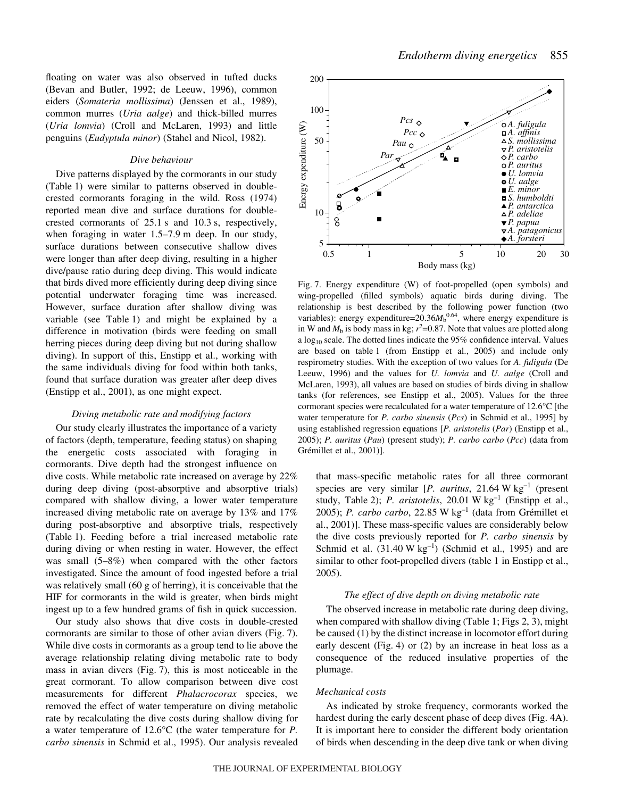floating on water was also observed in tufted ducks (Bevan and Butler, 1992; de Leeuw, 1996), common eiders (*Somateria mollissima*) (Jenssen et al., 1989), common murres (*Uria aalge*) and thick-billed murres (*Uria lomvia*) (Croll and McLaren, 1993) and little penguins (*Eudyptula minor*) (Stahel and Nicol, 1982).

### *Dive behaviour*

Dive patterns displayed by the cormorants in our study (Table 1) were similar to patterns observed in doublecrested cormorants foraging in the wild. Ross (1974) reported mean dive and surface durations for doublecrested cormorants of  $25.1$  s and  $10.3$  s, respectively, when foraging in water  $1.5-7.9$  m deep. In our study, surface durations between consecutive shallow dives were longer than after deep diving, resulting in a higher dive/pause ratio during deep diving. This would indicate that birds dived more efficiently during deep diving since potential underwater foraging time was increased. However, surface duration after shallow diving was variable (see Table 1) and might be explained by a difference in motivation (birds were feeding on small herring pieces during deep diving but not during shallow diving). In support of this, Enstipp et al., working with the same individuals diving for food within both tanks, found that surface duration was greater after deep dives (Enstipp et al., 2001), as one might expect.

### *Diving metabolic rate and modifying factors*

Our study clearly illustrates the importance of a variety of factors (depth, temperature, feeding status) on shaping the energetic costs associated with foraging in cormorants. Dive depth had the strongest influence on dive costs. While metabolic rate increased on average by 22% during deep diving (post-absorptive and absorptive trials) compared with shallow diving, a lower water temperature increased diving metabolic rate on average by 13% and 17% during post-absorptive and absorptive trials, respectively (Table 1). Feeding before a trial increased metabolic rate during diving or when resting in water. However, the effect was small (5–8%) when compared with the other factors investigated. Since the amount of food ingested before a trial was relatively small (60 g of herring), it is conceivable that the HIF for cormorants in the wild is greater, when birds might ingest up to a few hundred grams of fish in quick succession.

Our study also shows that dive costs in double-crested cormorants are similar to those of other avian divers (Fig. 7). While dive costs in cormorants as a group tend to lie above the average relationship relating diving metabolic rate to body mass in avian divers (Fig. 7), this is most noticeable in the great cormorant. To allow comparison between dive cost measurements for different *Phalacrocorax* species, we removed the effect of water temperature on diving metabolic rate by recalculating the dive costs during shallow diving for a water temperature of 12.6°C (the water temperature for *P. carbo sinensis* in Schmid et al., 1995). Our analysis revealed



Fig. 7. Energy expenditure (W) of foot-propelled (open symbols) and wing-propelled (filled symbols) aquatic birds during diving. The relationship is best described by the following power function (two variables): energy expenditure= $20.36M_b^{0.64}$ , where energy expenditure is in W and  $M_b$  is body mass in kg;  $r^2$ =0.87. Note that values are plotted along a  $log_{10}$  scale. The dotted lines indicate the 95% confidence interval. Values are based on table 1 (from Enstipp et al., 2005) and include only respirometry studies. With the exception of two values for *A. fuligula* (De Leeuw, 1996) and the values for *U. lomvia* and *U. aalge* (Croll and McLaren, 1993), all values are based on studies of birds diving in shallow tanks (for references, see Enstipp et al., 2005). Values for the three cormorant species were recalculated for a water temperature of 12.6°C [the water temperature for *P. carbo sinensis* (*Pcs*) in Schmid et al., 1995] by using established regression equations [*P. aristotelis* (*Par*) (Enstipp et al., 2005); *P. auritus* (*Pau*) (present study); *P. carbo carbo* (*Pcc*) (data from Grémillet et al., 2001)].

that mass-specific metabolic rates for all three cormorant species are very similar  $[P.$  *auritus*, 21.64  $W \text{ kg}^{-1}$  (present study, Table 2); *P. aristotelis*, 20.01  $W \text{ kg}^{-1}$  (Enstipp et al., 2005); *P. carbo carbo*, 22.85 W kg<sup>-1</sup> (data from Grémillet et al., 2001)]. These mass-specific values are considerably below the dive costs previously reported for *P. carbo sinensis* by Schmid et al.  $(31.40 \text{ W kg}^{-1})$  (Schmid et al., 1995) and are similar to other foot-propelled divers (table 1 in Enstipp et al., 2005).

#### *The effect of dive depth on diving metabolic rate*

The observed increase in metabolic rate during deep diving, when compared with shallow diving (Table 1; Figs  $2, 3$ ), might be caused (1) by the distinct increase in locomotor effort during early descent (Fig. 4) or  $(2)$  by an increase in heat loss as a consequence of the reduced insulative properties of the plumage.

# *Mechanical costs*

As indicated by stroke frequency, cormorants worked the hardest during the early descent phase of deep dives (Fig. 4A). It is important here to consider the different body orientation of birds when descending in the deep dive tank or when diving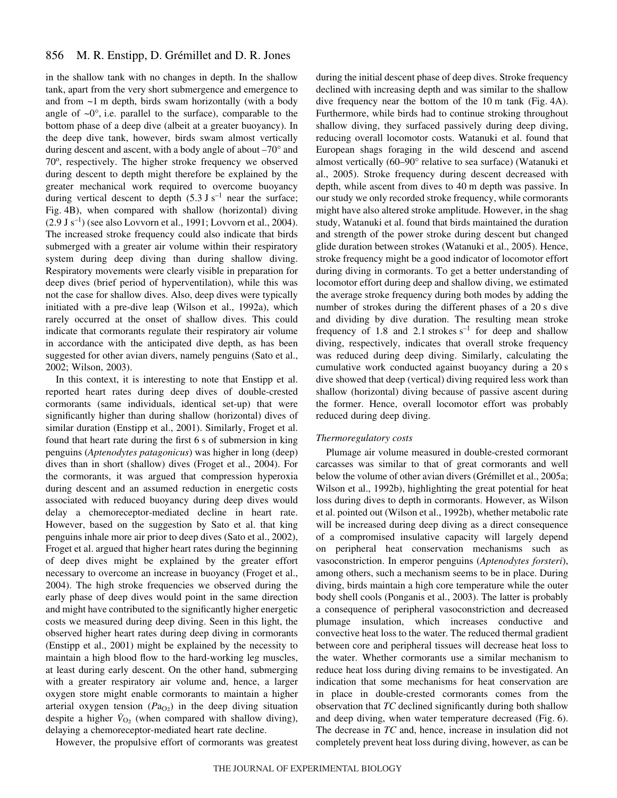#### 856 M. R. Enstipp, D. Grémillet and D. R. Jones

in the shallow tank with no changes in depth. In the shallow tank, apart from the very short submergence and emergence to and from  $\sim$ 1 m depth, birds swam horizontally (with a body angle of  $\sim 0^\circ$ , i.e. parallel to the surface), comparable to the bottom phase of a deep dive (albeit at a greater buoyancy). In the deep dive tank, however, birds swam almost vertically during descent and ascent, with a body angle of about –70° and 70°, respectively. The higher stroke frequency we observed during descent to depth might therefore be explained by the greater mechanical work required to overcome buoyancy during vertical descent to depth  $(5.3 \text{ J s}^{-1})$  near the surface; Fig. 4B), when compared with shallow (horizontal) diving  $(2.9 \text{ J s}^{-1})$  (see also Lovvorn et al., 1991; Lovvorn et al., 2004). The increased stroke frequency could also indicate that birds submerged with a greater air volume within their respiratory system during deep diving than during shallow diving. Respiratory movements were clearly visible in preparation for deep dives (brief period of hyperventilation), while this was not the case for shallow dives. Also, deep dives were typically initiated with a pre-dive leap (Wilson et al., 1992a), which rarely occurred at the onset of shallow dives. This could indicate that cormorants regulate their respiratory air volume in accordance with the anticipated dive depth, as has been suggested for other avian divers, namely penguins (Sato et al., 2002; Wilson, 2003).

In this context, it is interesting to note that Enstipp et al. reported heart rates during deep dives of double-crested cormorants (same individuals, identical set-up) that were significantly higher than during shallow (horizontal) dives of similar duration (Enstipp et al., 2001). Similarly, Froget et al. found that heart rate during the first 6 s of submersion in king penguins (*Aptenodytes patagonicus*) was higher in long (deep) dives than in short (shallow) dives (Froget et al., 2004). For the cormorants, it was argued that compression hyperoxia during descent and an assumed reduction in energetic costs associated with reduced buoyancy during deep dives would delay a chemoreceptor-mediated decline in heart rate. However, based on the suggestion by Sato et al. that king penguins inhale more air prior to deep dives (Sato et al., 2002), Froget et al. argued that higher heart rates during the beginning of deep dives might be explained by the greater effort necessary to overcome an increase in buoyancy (Froget et al., 2004). The high stroke frequencies we observed during the early phase of deep dives would point in the same direction and might have contributed to the significantly higher energetic costs we measured during deep diving. Seen in this light, the observed higher heart rates during deep diving in cormorants (Enstipp et al., 2001) might be explained by the necessity to maintain a high blood flow to the hard-working leg muscles, at least during early descent. On the other hand, submerging with a greater respiratory air volume and, hence, a larger oxygen store might enable cormorants to maintain a higher arterial oxygen tension  $(Pa<sub>O2</sub>)$  in the deep diving situation despite a higher  $\dot{V}_{O_2}$  (when compared with shallow diving), delaying a chemoreceptor-mediated heart rate decline.

However, the propulsive effort of cormorants was greatest

during the initial descent phase of deep dives. Stroke frequency declined with increasing depth and was similar to the shallow dive frequency near the bottom of the  $10 \text{ m}$  tank (Fig. 4A). Furthermore, while birds had to continue stroking throughout shallow diving, they surfaced passively during deep diving, reducing overall locomotor costs. Watanuki et al. found that European shags foraging in the wild descend and ascend almost vertically (60–90° relative to sea surface) (Watanuki et al., 2005). Stroke frequency during descent decreased with depth, while ascent from dives to 40 m depth was passive. In our study we only recorded stroke frequency, while cormorants might have also altered stroke amplitude. However, in the shag study, Watanuki et al. found that birds maintained the duration and strength of the power stroke during descent but changed glide duration between strokes (Watanuki et al., 2005). Hence, stroke frequency might be a good indicator of locomotor effort during diving in cormorants. To get a better understanding of locomotor effort during deep and shallow diving, we estimated the average stroke frequency during both modes by adding the number of strokes during the different phases of a 20 s dive and dividing by dive duration. The resulting mean stroke frequency of 1.8 and 2.1 strokes  $s^{-1}$  for deep and shallow diving, respectively, indicates that overall stroke frequency was reduced during deep diving. Similarly, calculating the cumulative work conducted against buoyancy during a 20 s dive showed that deep (vertical) diving required less work than shallow (horizontal) diving because of passive ascent during the former. Hence, overall locomotor effort was probably reduced during deep diving.

# *Thermoregulatory costs*

Plumage air volume measured in double-crested cormorant carcasses was similar to that of great cormorants and well below the volume of other avian divers (Grémillet et al., 2005a; Wilson et al., 1992b), highlighting the great potential for heat loss during dives to depth in cormorants. However, as Wilson et al. pointed out (Wilson et al., 1992b), whether metabolic rate will be increased during deep diving as a direct consequence of a compromised insulative capacity will largely depend on peripheral heat conservation mechanisms such as vasoconstriction. In emperor penguins (*Aptenodytes forsteri*), among others, such a mechanism seems to be in place. During diving, birds maintain a high core temperature while the outer body shell cools (Ponganis et al., 2003). The latter is probably a consequence of peripheral vasoconstriction and decreased plumage insulation, which increases conductive and convective heat loss to the water. The reduced thermal gradient between core and peripheral tissues will decrease heat loss to the water. Whether cormorants use a similar mechanism to reduce heat loss during diving remains to be investigated. An indication that some mechanisms for heat conservation are in place in double-crested cormorants comes from the observation that *TC* declined significantly during both shallow and deep diving, when water temperature decreased (Fig. 6). The decrease in *TC* and, hence, increase in insulation did not completely prevent heat loss during diving, however, as can be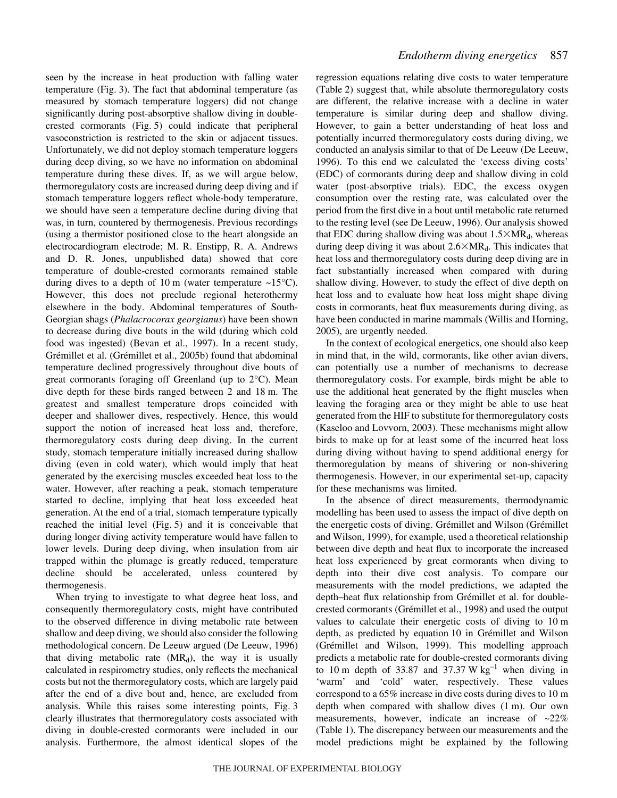seen by the increase in heat production with falling water temperature (Fig. 3). The fact that abdominal temperature (as measured by stomach temperature loggers) did not change significantly during post-absorptive shallow diving in doublecrested cormorants (Fig. 5) could indicate that peripheral vasoconstriction is restricted to the skin or adjacent tissues. Unfortunately, we did not deploy stomach temperature loggers during deep diving, so we have no information on abdominal temperature during these dives. If, as we will argue below, thermoregulatory costs are increased during deep diving and if stomach temperature loggers reflect whole-body temperature, we should have seen a temperature decline during diving that was, in turn, countered by thermogenesis. Previous recordings (using a thermistor positioned close to the heart alongside an electrocardiogram electrode; M. R. Enstipp, R. A. Andrews and D. R. Jones, unpublished data) showed that core temperature of double-crested cormorants remained stable during dives to a depth of 10 m (water temperature  $\sim$ 15°C). However, this does not preclude regional heterothermy elsewhere in the body. Abdominal temperatures of South-Georgian shags (*Phalacrocorax georgianus*) have been shown to decrease during dive bouts in the wild (during which cold food was ingested) (Bevan et al., 1997). In a recent study, Grémillet et al. (Grémillet et al., 2005b) found that abdominal temperature declined progressively throughout dive bouts of great cormorants foraging off Greenland (up to 2°C). Mean dive depth for these birds ranged between 2 and 18 m. The greatest and smallest temperature drops coincided with deeper and shallower dives, respectively. Hence, this would support the notion of increased heat loss and, therefore, thermoregulatory costs during deep diving. In the current study, stomach temperature initially increased during shallow diving (even in cold water), which would imply that heat generated by the exercising muscles exceeded heat loss to the water. However, after reaching a peak, stomach temperature started to decline, implying that heat loss exceeded heat generation. At the end of a trial, stomach temperature typically reached the initial level  $(Fig. 5)$  and it is conceivable that during longer diving activity temperature would have fallen to lower levels. During deep diving, when insulation from air trapped within the plumage is greatly reduced, temperature decline should be accelerated, unless countered by thermogenesis.

When trying to investigate to what degree heat loss, and consequently thermoregulatory costs, might have contributed to the observed difference in diving metabolic rate between shallow and deep diving, we should also consider the following methodological concern. De Leeuw argued (De Leeuw, 1996) that diving metabolic rate  $(MR_d)$ , the way it is usually calculated in respirometry studies, only reflects the mechanical costs but not the thermoregulatory costs, which are largely paid after the end of a dive bout and, hence, are excluded from analysis. While this raises some interesting points, Fig. 3 clearly illustrates that thermoregulatory costs associated with diving in double-crested cormorants were included in our analysis. Furthermore, the almost identical slopes of the

regression equations relating dive costs to water temperature (Table 2) suggest that, while absolute thermoregulatory costs are different, the relative increase with a decline in water temperature is similar during deep and shallow diving. However, to gain a better understanding of heat loss and potentially incurred thermoregulatory costs during diving, we conducted an analysis similar to that of De Leeuw (De Leeuw, 1996). To this end we calculated the 'excess diving costs' (EDC) of cormorants during deep and shallow diving in cold water (post-absorptive trials). EDC, the excess oxygen consumption over the resting rate, was calculated over the period from the first dive in a bout until metabolic rate returned to the resting level (see De Leeuw, 1996). Our analysis showed that EDC during shallow diving was about  $1.5 \times MR_d$ , whereas during deep diving it was about  $2.6 \times MR_d$ . This indicates that heat loss and thermoregulatory costs during deep diving are in fact substantially increased when compared with during shallow diving. However, to study the effect of dive depth on heat loss and to evaluate how heat loss might shape diving costs in cormorants, heat flux measurements during diving, as have been conducted in marine mammals (Willis and Horning, 2005), are urgently needed.

In the context of ecological energetics, one should also keep in mind that, in the wild, cormorants, like other avian divers, can potentially use a number of mechanisms to decrease thermoregulatory costs. For example, birds might be able to use the additional heat generated by the flight muscles when leaving the foraging area or they might be able to use heat generated from the HIF to substitute for thermoregulatory costs (Kaseloo and Lovvorn, 2003). These mechanisms might allow birds to make up for at least some of the incurred heat loss during diving without having to spend additional energy for thermoregulation by means of shivering or non-shivering thermogenesis. However, in our experimental set-up, capacity for these mechanisms was limited.

In the absence of direct measurements, thermodynamic modelling has been used to assess the impact of dive depth on the energetic costs of diving. Grémillet and Wilson (Grémillet and Wilson, 1999), for example, used a theoretical relationship between dive depth and heat flux to incorporate the increased heat loss experienced by great cormorants when diving to depth into their dive cost analysis. To compare our measurements with the model predictions, we adapted the depth–heat flux relationship from Grémillet et al. for doublecrested cormorants (Grémillet et al., 1998) and used the output values to calculate their energetic costs of diving to  $10 \text{ m}$ depth, as predicted by equation 10 in Grémillet and Wilson (Grémillet and Wilson, 1999). This modelling approach predicts a metabolic rate for double-crested cormorants diving to 10 m depth of 33.87 and 37.37  $W kg^{-1}$  when diving in 'warm' and 'cold' water, respectively. These values correspond to a 65% increase in dive costs during dives to 10 m depth when compared with shallow dives  $(1 \text{ m})$ . Our own measurements, however, indicate an increase of  $\approx 22\%$ (Table 1). The discrepancy between our measurements and the model predictions might be explained by the following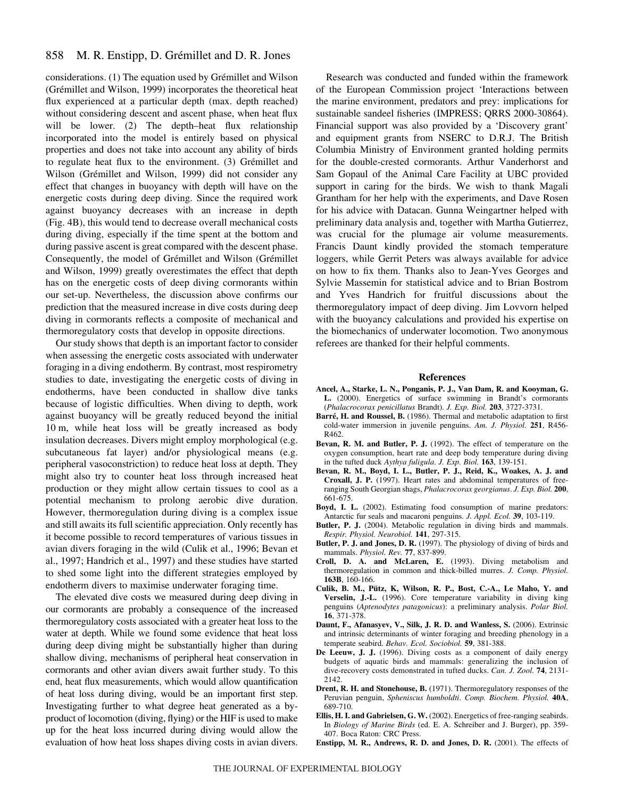#### 858 M. R. Enstipp, D. Grémillet and D. R. Jones

considerations. (1) The equation used by Grémillet and Wilson (Grémillet and Wilson, 1999) incorporates the theoretical heat flux experienced at a particular depth (max. depth reached) without considering descent and ascent phase, when heat flux will be lower. (2) The depth–heat flux relationship incorporated into the model is entirely based on physical properties and does not take into account any ability of birds to regulate heat flux to the environment. (3) Grémillet and Wilson (Grémillet and Wilson, 1999) did not consider any effect that changes in buoyancy with depth will have on the energetic costs during deep diving. Since the required work against buoyancy decreases with an increase in depth (Fig. 4B), this would tend to decrease overall mechanical costs during diving, especially if the time spent at the bottom and during passive ascent is great compared with the descent phase. Consequently, the model of Grémillet and Wilson (Grémillet and Wilson, 1999) greatly overestimates the effect that depth has on the energetic costs of deep diving cormorants within our set-up. Nevertheless, the discussion above confirms our prediction that the measured increase in dive costs during deep diving in cormorants reflects a composite of mechanical and thermoregulatory costs that develop in opposite directions.

Our study shows that depth is an important factor to consider when assessing the energetic costs associated with underwater foraging in a diving endotherm. By contrast, most respirometry studies to date, investigating the energetic costs of diving in endotherms, have been conducted in shallow dive tanks because of logistic difficulties. When diving to depth, work against buoyancy will be greatly reduced beyond the initial 10 m, while heat loss will be greatly increased as body insulation decreases. Divers might employ morphological (e.g. subcutaneous fat layer) and/or physiological means (e.g. peripheral vasoconstriction) to reduce heat loss at depth. They might also try to counter heat loss through increased heat production or they might allow certain tissues to cool as a potential mechanism to prolong aerobic dive duration. However, thermoregulation during diving is a complex issue and still awaits its full scientific appreciation. Only recently has it become possible to record temperatures of various tissues in avian divers foraging in the wild (Culik et al., 1996; Bevan et al., 1997; Handrich et al., 1997) and these studies have started to shed some light into the different strategies employed by endotherm divers to maximise underwater foraging time.

The elevated dive costs we measured during deep diving in our cormorants are probably a consequence of the increased thermoregulatory costs associated with a greater heat loss to the water at depth. While we found some evidence that heat loss during deep diving might be substantially higher than during shallow diving, mechanisms of peripheral heat conservation in cormorants and other avian divers await further study. To this end, heat flux measurements, which would allow quantification of heat loss during diving, would be an important first step. Investigating further to what degree heat generated as a byproduct of locomotion (diving, flying) or the HIF is used to make up for the heat loss incurred during diving would allow the evaluation of how heat loss shapes diving costs in avian divers.

Research was conducted and funded within the framework of the European Commission project 'Interactions between the marine environment, predators and prey: implications for sustainable sandeel fisheries (IMPRESS; QRRS 2000-30864). Financial support was also provided by a 'Discovery grant' and equipment grants from NSERC to D.R.J. The British Columbia Ministry of Environment granted holding permits for the double-crested cormorants. Arthur Vanderhorst and Sam Gopaul of the Animal Care Facility at UBC provided support in caring for the birds. We wish to thank Magali Grantham for her help with the experiments, and Dave Rosen for his advice with Datacan. Gunna Weingartner helped with preliminary data analysis and, together with Martha Gutierrez, was crucial for the plumage air volume measurements. Francis Daunt kindly provided the stomach temperature loggers, while Gerrit Peters was always available for advice on how to fix them. Thanks also to Jean-Yves Georges and Sylvie Massemin for statistical advice and to Brian Bostrom and Yves Handrich for fruitful discussions about the thermoregulatory impact of deep diving. Jim Lovvorn helped with the buoyancy calculations and provided his expertise on the biomechanics of underwater locomotion. Two anonymous referees are thanked for their helpful comments.

#### **References**

- **Ancel, A., Starke, L. N., Ponganis, P. J., Van Dam, R. and Kooyman, G. L.** (2000). Energetics of surface swimming in Brandt's cormorants (*Phalacrocorax penicillatus* Brandt). *J. Exp. Biol.* **203**, 3727-3731.
- **Barré, H. and Roussel, B.** (1986). Thermal and metabolic adaptation to first cold-water immersion in juvenile penguins. *Am. J. Physiol.* **251**, R456- R462.
- **Bevan, R. M. and Butler, P. J.** (1992). The effect of temperature on the oxygen consumption, heart rate and deep body temperature during diving in the tufted duck *Aythya fuligula*. *J. Exp. Biol.* **163**, 139-151.
- **Bevan, R. M., Boyd, I. L., Butler, P. J., Reid, K., Woakes, A. J. and Croxall, J. P.** (1997). Heart rates and abdominal temperatures of freeranging South Georgian shags, *Phalacrocorax georgianus*. *J. Exp. Biol.* **200**, 661-675.
- **Boyd, I. L.** (2002). Estimating food consumption of marine predators: Antarctic fur seals and macaroni penguins. *J. Appl. Ecol.* **39**, 103-119.
- **Butler, P. J.** (2004). Metabolic regulation in diving birds and mammals. *Respir. Physiol. Neurobiol.* **141**, 297-315.
- **Butler, P. J. and Jones, D. R.** (1997). The physiology of diving of birds and mammals. *Physiol. Rev.* **77**, 837-899.
- **Croll, D. A. and McLaren, E.** (1993). Diving metabolism and thermoregulation in common and thick-billed murres. *J. Comp. Physiol.* **163B**, 160-166.
- **Culik, B. M., Pütz, K, Wilson, R. P., Bost, C.-A., Le Maho, Y. and Verselin, J.-L.** (1996). Core temperature variability in diving king penguins (*Aptenodytes patagonicus*): a preliminary analysis. *Polar Biol.* **16**, 371-378.
- Daunt, F., Afanasyev, V., Silk, J. R. D. and Wanless, S. (2006). Extrinsic and intrinsic determinants of winter foraging and breeding phenology in a temperate seabird. *Behav. Ecol. Sociobiol.* **59**, 381-388.
- **De Leeuw, J. J.** (1996). Diving costs as a component of daily energy budgets of aquatic birds and mammals: generalizing the inclusion of dive-recovery costs demonstrated in tufted ducks. *Can. J. Zool.* **74**, 2131- 2142.
- **Drent, R. H. and Stonehouse, B.** (1971). Thermoregulatory responses of the Peruvian penguin, *Spheniscus humboldti*. *Comp. Biochem. Physiol.* **40A**, 689-710.
- **Ellis, H. I. and Gabrielsen, G. W.** (2002). Energetics of free-ranging seabirds. In *Biology of Marine Birds* (ed. E. A. Schreiber and J. Burger), pp. 359- 407. Boca Raton: CRC Press.
- **Enstipp, M. R., Andrews, R. D. and Jones, D. R.** (2001). The effects of